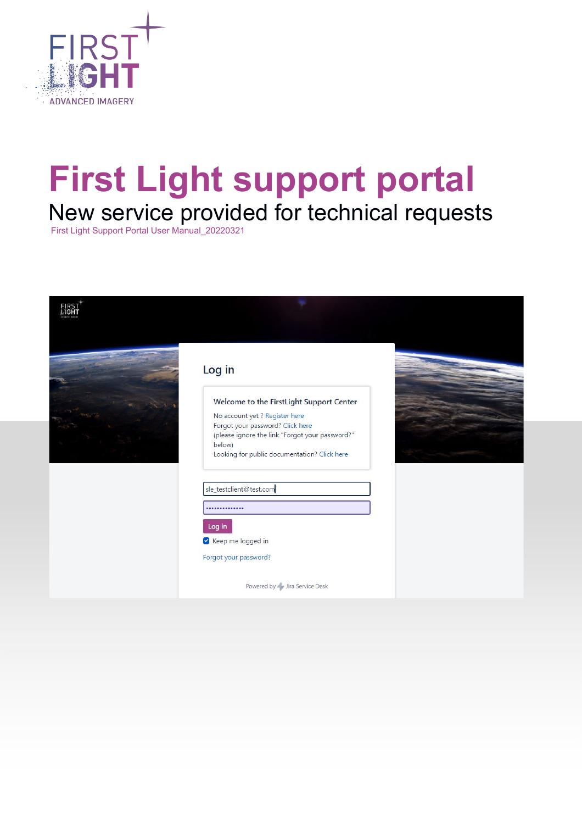

# **First Light support portal** New service provided for technical requests

First Light Support Portal User Manual\_20220321

| Log in                                                                                                                                                                                                                      |  |
|-----------------------------------------------------------------------------------------------------------------------------------------------------------------------------------------------------------------------------|--|
| Welcome to the FirstLight Support Center<br>No account yet ? Register here<br>Forgot your password? Click here<br>(please ignore the link "Forgot your password?"<br>below)<br>Looking for public documentation? Click here |  |
| sle_testclient@test.com<br><br>Log in<br>Keep me logged in<br>Forgot your password?                                                                                                                                         |  |
| Powered by Jira Service Desk                                                                                                                                                                                                |  |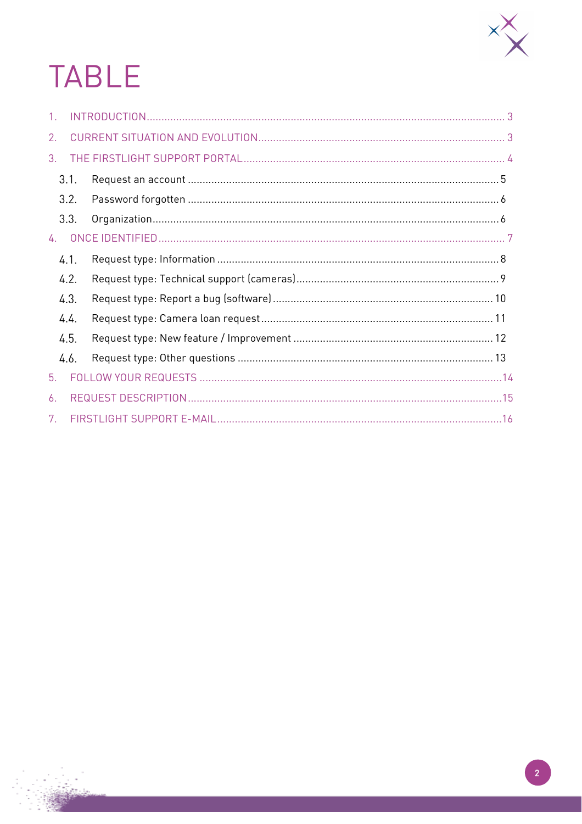

# **TABLE**

| $\mathbf{1}$ |      |  |
|--------------|------|--|
| 2.           |      |  |
| 3.           |      |  |
|              | 3.1. |  |
|              | 3.2. |  |
|              | 3.3. |  |
| 4.           |      |  |
|              | 4.1. |  |
|              | 4.2. |  |
|              | 4.3. |  |
|              | 4.4. |  |
|              | 4.5. |  |
|              | 4.6. |  |
| 5.           |      |  |
| 6.           |      |  |
| 7.           |      |  |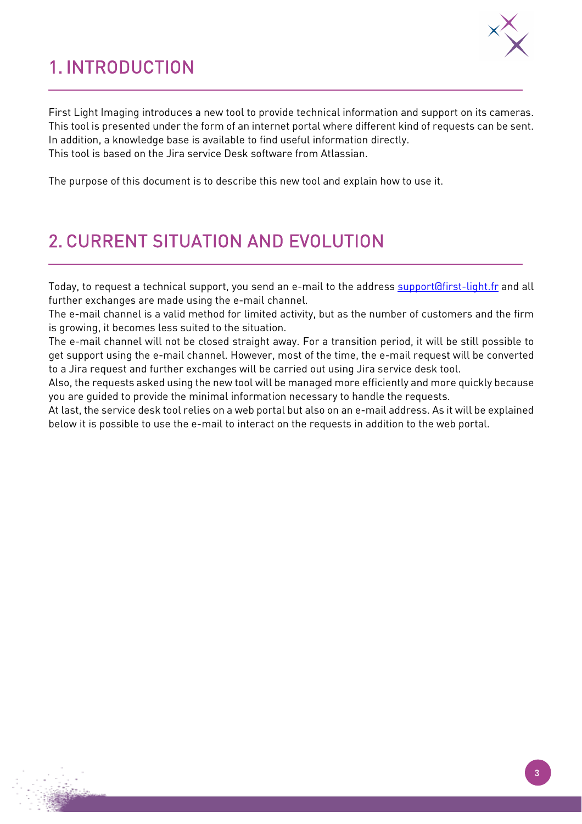# <span id="page-2-0"></span>1. INTRODUCTION



First Light Imaging introduces a new tool to provide technical information and support on its cameras. This tool is presented under the form of an internet portal where different kind of requests can be sent. In addition, a knowledge base is available to find useful information directly. This tool is based on the Jira service Desk software from Atlassian.

The purpose of this document is to describe this new tool and explain how to use it.

## <span id="page-2-1"></span>2. CURRENT SITUATION AND EVOLUTION

Today, to request a technical support, you send an e-mail to the address [support@first-light.fr](mailto:support@first-light.fr) and all further exchanges are made using the e-mail channel.

The e-mail channel is a valid method for limited activity, but as the number of customers and the firm is growing, it becomes less suited to the situation.

The e-mail channel will not be closed straight away. For a transition period, it will be still possible to get support using the e-mail channel. However, most of the time, the e-mail request will be converted to a Jira request and further exchanges will be carried out using Jira service desk tool.

Also, the requests asked using the new tool will be managed more efficiently and more quickly because you are guided to provide the minimal information necessary to handle the requests.

At last, the service desk tool relies on a web portal but also on an e-mail address. As it will be explained below it is possible to use the e-mail to interact on the requests in addition to the web portal.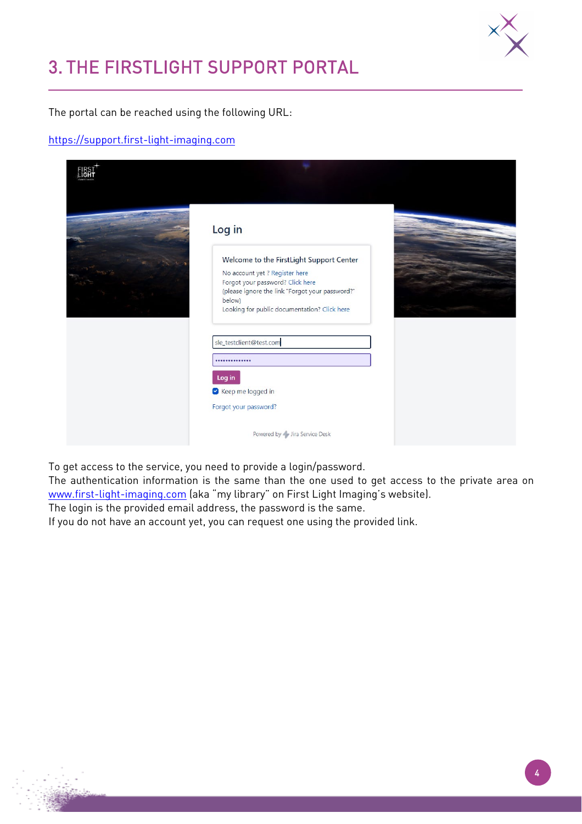

## <span id="page-3-0"></span>3. THE FIRSTLIGHT SUPPORT PORTAL

The portal can be reached using the following URL:

#### [https://support.first-light-imaging.com](https://support.first-light-imaging.com/)

| Log in                                                                                                                                                                                                                      |  |
|-----------------------------------------------------------------------------------------------------------------------------------------------------------------------------------------------------------------------------|--|
| Welcome to the FirstLight Support Center<br>No account yet ? Register here<br>Forgot your password? Click here<br>(please ignore the link "Forgot your password?"<br>below)<br>Looking for public documentation? Click here |  |
| sle_testclient@test.com<br><br>Log in<br>Keep me logged in                                                                                                                                                                  |  |
| Forgot your password?<br>Powered by Jira Service Desk                                                                                                                                                                       |  |

To get access to the service, you need to provide a login/password.

The authentication information is the same than the one used to get access to the private area on [www.first-light-imaging.com](http://www.first-light-imaging.com/) (aka "my library" on First Light Imaging's website).

The login is the provided email address, the password is the same.

If you do not have an account yet, you can request one using the provided link.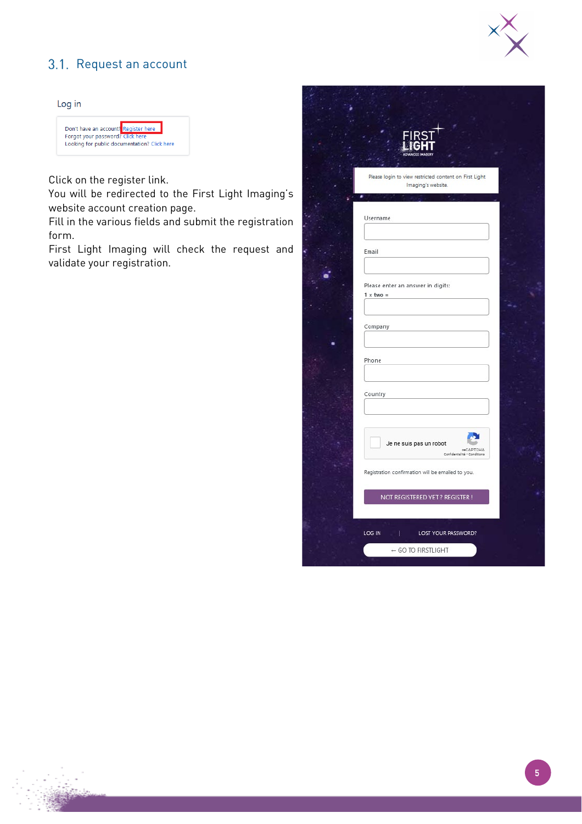

#### <span id="page-4-0"></span>3.1. Request an account

#### Log in



Click on the register link.

You will be redirected to the First Light Imaging's website account creation page.

Fill in the various fields and submit the registration form.

First Light Imaging will check the request and validate your registration.

| Please login to view restricted content on First Light |  |
|--------------------------------------------------------|--|
| Imaging's website.                                     |  |
|                                                        |  |
|                                                        |  |
| Username                                               |  |
|                                                        |  |
|                                                        |  |
| Email                                                  |  |
|                                                        |  |
|                                                        |  |
| Please enter an answer in digits:                      |  |
| $1 \times$ two =                                       |  |
|                                                        |  |
|                                                        |  |
| Company                                                |  |
|                                                        |  |
|                                                        |  |
| Phone                                                  |  |
|                                                        |  |
|                                                        |  |
| Country                                                |  |
|                                                        |  |
|                                                        |  |
|                                                        |  |
|                                                        |  |
| Je ne suis pas un robot                                |  |
| <b>reCAPTCHA</b><br>Confidentialité - Conditional      |  |
|                                                        |  |
| Registration confirmation will be emailed to you.      |  |
|                                                        |  |
| NOT REGISTERED YET ? REGISTER !                        |  |
|                                                        |  |
|                                                        |  |
| LOG IN<br>  LOST YOUR PASSWORD?                        |  |
|                                                        |  |
| - GO TO FIRSTLIGHT                                     |  |
|                                                        |  |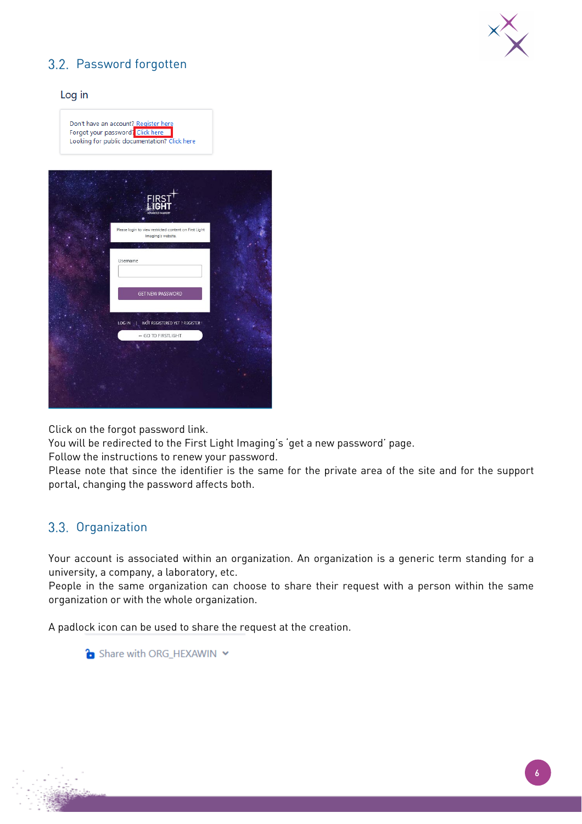

### <span id="page-5-0"></span>3.2. Password forgotten

#### Log in

Don't have an account? Register here<br>Forgot your password: Click here Looking for public documentation? Click here

| <b>FIRST</b><br><b>CEDI</b>                                                  |  |
|------------------------------------------------------------------------------|--|
| Please login to view restricted content on First Light<br>Imaging's website. |  |
| Username                                                                     |  |
| <b>GET NEW PASSWORD</b>                                                      |  |
| LOG IN   NOT REGISTERED YET ? REGISTER !                                     |  |
| + GO TO FIRSTLIGHT                                                           |  |
|                                                                              |  |
|                                                                              |  |
|                                                                              |  |

Click on the forgot password link.

You will be redirected to the First Light Imaging's 'get a new password' page.

Follow the instructions to renew your password.

Please note that since the identifier is the same for the private area of the site and for the support portal, changing the password affects both.

#### <span id="page-5-1"></span>3.3. Organization

Your account is associated within an organization. An organization is a generic term standing for a university, a company, a laboratory, etc.

People in the same organization can choose to share their request with a person within the same organization or with the whole organization.

A padlock icon can be used to share the request at the creation.

Share with ORG\_HEXAWIN Y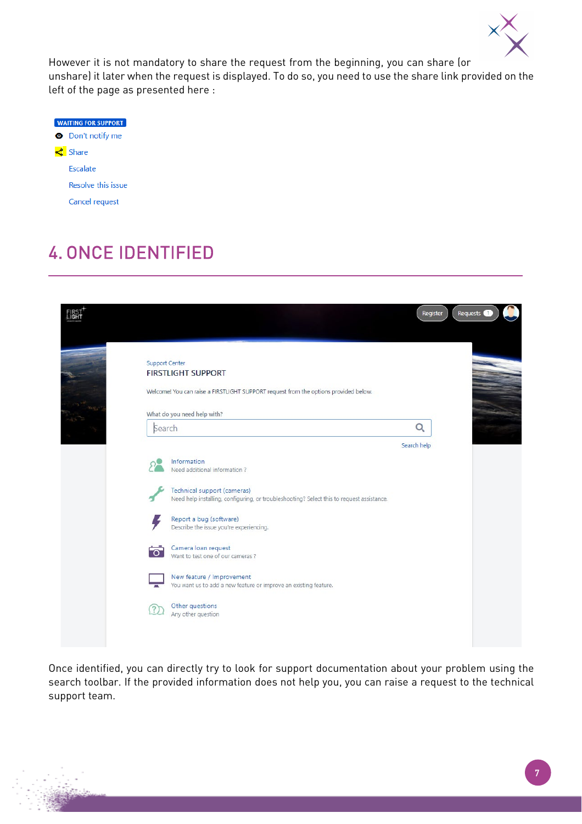

However it is not mandatory to share the request from the beginning, you can share (or unshare) it later when the request is displayed. To do so, you need to use the share link provided on the left of the page as presented here :

| <b>WAITING FOR SUPPORT</b> |
|----------------------------|
| Don't notify me            |
| <u></u> Share              |
| Escalate                   |
| Resolve this issue         |
| Cancel request             |

# <span id="page-6-0"></span>4. ONCE IDENTIFIED

| Support Center    | <b>FIRSTLIGHT SUPPORT</b><br>Welcome! You can raise a FIRSTLIGHT SUPPORT request from the options provided below.        |             |  |
|-------------------|--------------------------------------------------------------------------------------------------------------------------|-------------|--|
|                   | What do you need help with?                                                                                              |             |  |
| Search            |                                                                                                                          | Q           |  |
|                   |                                                                                                                          | Search help |  |
|                   | Information<br>Need additional information?                                                                              |             |  |
|                   | Technical support (cameras)<br>Need help installing, configuring, or troubleshooting? Select this to request assistance. |             |  |
|                   | Report a bug (software)<br>Describe the issue you're experiencing.                                                       |             |  |
| ं                 | Camera loan request<br>Want to test one of our cameras?                                                                  |             |  |
|                   | New feature / Improvement<br>You want us to add a new feature or improve an existing feature.                            |             |  |
| $\left( 2\right)$ | Other questions<br>Any other question                                                                                    |             |  |

Once identified, you can directly try to look for support documentation about your problem using the search toolbar. If the provided information does not help you, you can raise a request to the technical support team.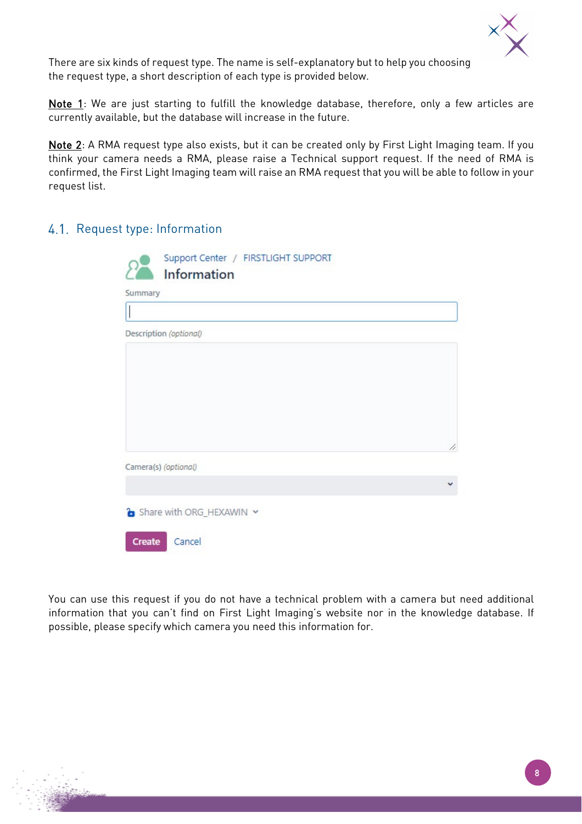

There are six kinds of request type. The name is self-explanatory but to help you choosing the request type, a short description of each type is provided below.

Note 1: We are just starting to fulfill the knowledge database, therefore, only a few articles are currently available, but the database will increase in the future.

Note 2: A RMA request type also exists, but it can be created only by First Light Imaging team. If you think your camera needs a RMA, please raise a Technical support request. If the need of RMA is confirmed, the First Light Imaging team will raise an RMA request that you will be able to follow in your request list.

#### <span id="page-7-0"></span>4.1. Request type: Information

| Support Center / FIRSTLIGHT SUPPORT<br>Information |   |
|----------------------------------------------------|---|
| Summary                                            |   |
|                                                    |   |
| Description (optional)                             |   |
|                                                    |   |
|                                                    |   |
|                                                    |   |
|                                                    |   |
|                                                    | 4 |
| Camera(s) (optional)                               |   |
|                                                    |   |
|                                                    |   |
| Share with ORG_HEXAWIN ~                           |   |
| Cancel<br>Create                                   |   |

You can use this request if you do not have a technical problem with a camera but need additional information that you can't find on First Light Imaging's website nor in the knowledge database. If possible, please specify which camera you need this information for.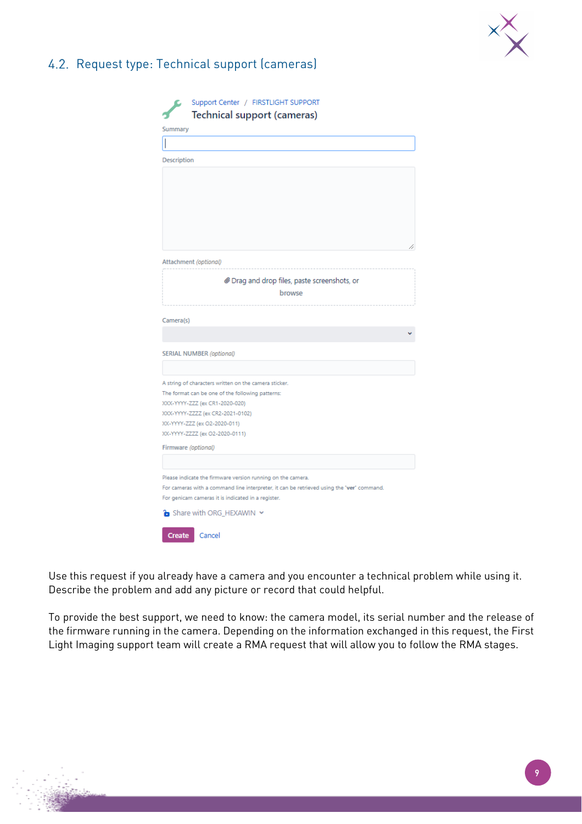

### <span id="page-8-0"></span>4.2. Request type: Technical support (cameras)

| Support Center / FIRSTLIGHT SUPPORT                                                       |    |
|-------------------------------------------------------------------------------------------|----|
| <b>Technical support (cameras)</b>                                                        |    |
| Summary                                                                                   |    |
|                                                                                           |    |
| Description                                                                               |    |
|                                                                                           |    |
|                                                                                           |    |
|                                                                                           |    |
|                                                                                           |    |
|                                                                                           |    |
|                                                                                           |    |
|                                                                                           | // |
| Attachment (optional)                                                                     |    |
|                                                                                           |    |
| @ Drag and drop files, paste screenshots, or                                              |    |
| browse                                                                                    |    |
|                                                                                           |    |
| Camera(s)                                                                                 |    |
|                                                                                           |    |
|                                                                                           |    |
| <b>SERIAL NUMBER (optional)</b>                                                           |    |
|                                                                                           |    |
| A string of characters written on the camera sticker.                                     |    |
| The format can be one of the following patterns:                                          |    |
| XXX-YYYY-ZZZ (ex CR1-2020-020)                                                            |    |
| XXX-YYYY-ZZZZ (ex CR2-2021-0102)                                                          |    |
| XX-YYYY-ZZZ (ex O2-2020-011)                                                              |    |
| XX-YYYY-ZZZZ (ex O2-2020-0111)                                                            |    |
| Firmware (optional)                                                                       |    |
|                                                                                           |    |
| Please indicate the firmware version running on the camera.                               |    |
| For cameras with a command line interpreter, it can be retrieved using the 'ver' command. |    |
| For genicam cameras it is indicated in a register.                                        |    |
| Share with ORG HEXAWIN Y                                                                  |    |
|                                                                                           |    |
| Create<br>Cancel                                                                          |    |

Use this request if you already have a camera and you encounter a technical problem while using it. Describe the problem and add any picture or record that could helpful.

To provide the best support, we need to know: the camera model, its serial number and the release of the firmware running in the camera. Depending on the information exchanged in this request, the First Light Imaging support team will create a RMA request that will allow you to follow the RMA stages.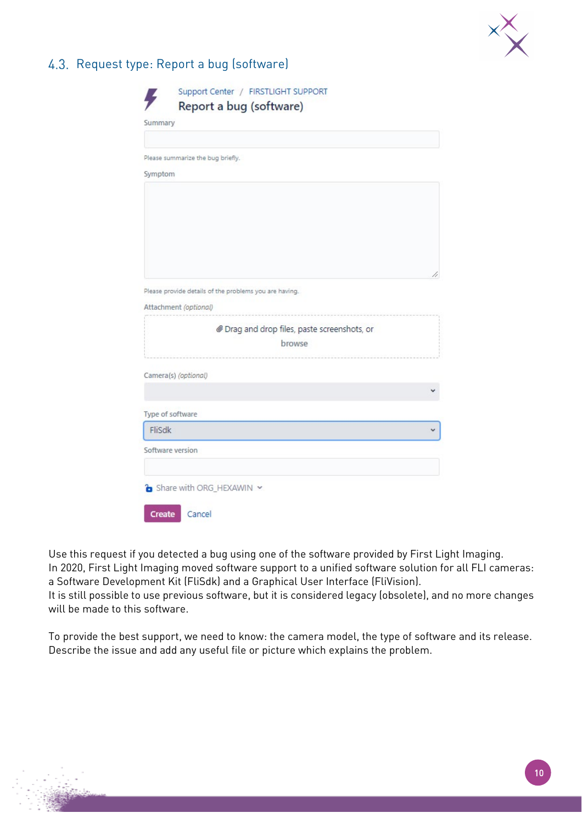

#### <span id="page-9-0"></span>4.3. Request type: Report a bug (software)

| Please summarize the bug briefly.             |                                                        |  |
|-----------------------------------------------|--------------------------------------------------------|--|
| Symptom                                       |                                                        |  |
|                                               |                                                        |  |
|                                               |                                                        |  |
|                                               |                                                        |  |
|                                               |                                                        |  |
|                                               |                                                        |  |
|                                               |                                                        |  |
|                                               |                                                        |  |
|                                               |                                                        |  |
|                                               | Please provide details of the problems you are having. |  |
|                                               |                                                        |  |
|                                               | @ Drag and drop files, paste screenshots, or           |  |
|                                               | browse                                                 |  |
|                                               |                                                        |  |
|                                               |                                                        |  |
| Attachment (optional)<br>Camera(s) (optional) |                                                        |  |
|                                               |                                                        |  |
| Type of software                              |                                                        |  |
| <b>FliSdk</b>                                 |                                                        |  |
| Software version                              |                                                        |  |

Use this request if you detected a bug using one of the software provided by First Light Imaging. In 2020, First Light Imaging moved software support to a unified software solution for all FLI cameras: a Software Development Kit (FliSdk) and a Graphical User Interface (FliVision). It is still possible to use previous software, but it is considered legacy (obsolete), and no more changes

will be made to this software.

To provide the best support, we need to know: the camera model, the type of software and its release. Describe the issue and add any useful file or picture which explains the problem.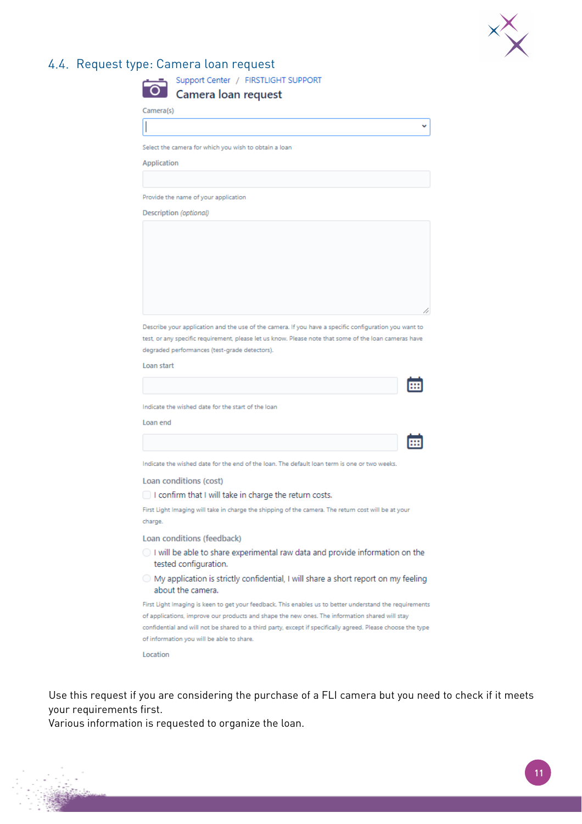

### <span id="page-10-0"></span>4.4. Request type: Camera loan request

| Camera(s)              |                                                                                                                                                                                                                                                                 |  |
|------------------------|-----------------------------------------------------------------------------------------------------------------------------------------------------------------------------------------------------------------------------------------------------------------|--|
|                        |                                                                                                                                                                                                                                                                 |  |
|                        | Select the camera for which you wish to obtain a loan                                                                                                                                                                                                           |  |
| Application            |                                                                                                                                                                                                                                                                 |  |
|                        |                                                                                                                                                                                                                                                                 |  |
|                        | Provide the name of your application                                                                                                                                                                                                                            |  |
| Description (optional) |                                                                                                                                                                                                                                                                 |  |
|                        |                                                                                                                                                                                                                                                                 |  |
|                        |                                                                                                                                                                                                                                                                 |  |
| Loan start             | Describe your application and the use of the camera. If you have a specific configuration you want to<br>test, or any specific requirement, please let us know. Please note that some of the loan cameras have<br>degraded performances (test-grade detectors). |  |
|                        |                                                                                                                                                                                                                                                                 |  |
|                        | Indicate the wished date for the start of the loan                                                                                                                                                                                                              |  |
| Loan end               |                                                                                                                                                                                                                                                                 |  |
|                        |                                                                                                                                                                                                                                                                 |  |
|                        | Indicate the wished date for the end of the loan. The default loan term is one or two weeks.                                                                                                                                                                    |  |
|                        | Loan conditions (cost)                                                                                                                                                                                                                                          |  |
|                        | I confirm that I will take in charge the return costs.                                                                                                                                                                                                          |  |
| charge.                | First Light Imaging will take in charge the shipping of the camera. The return cost will be at your                                                                                                                                                             |  |
|                        | Loan conditions (feedback)                                                                                                                                                                                                                                      |  |
|                        | ○ I will be able to share experimental raw data and provide information on the<br>tested configuration.                                                                                                                                                         |  |
|                        |                                                                                                                                                                                                                                                                 |  |
|                        | O My application is strictly confidential, I will share a short report on my feeling<br>about the camera.                                                                                                                                                       |  |
|                        | First Light Imaging is keen to get your feedback. This enables us to better understand the requirements                                                                                                                                                         |  |
|                        | of applications, improve our products and shape the new ones. The information shared will stay<br>confidential and will not be shared to a third party, except if specifically agreed. Please choose the type                                                   |  |

Use this request if you are considering the purchase of a FLI camera but you need to check if it meets your requirements first.

Various information is requested to organize the loan.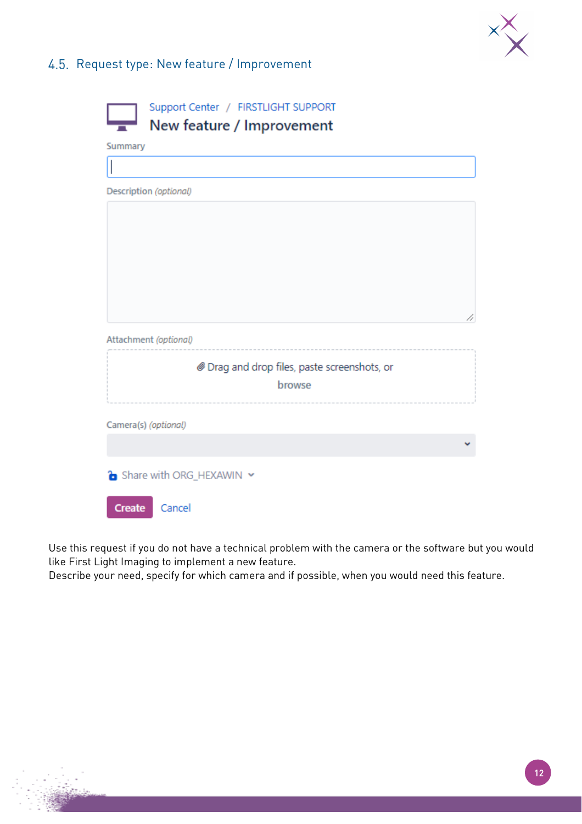

### <span id="page-11-0"></span>4.5. Request type: New feature / Improvement

|               | Support Center / FIRSTLIGHT SUPPORT<br>New feature / Improvement |
|---------------|------------------------------------------------------------------|
| Summary       |                                                                  |
|               |                                                                  |
|               | Description (optional)                                           |
|               |                                                                  |
|               |                                                                  |
|               |                                                                  |
|               |                                                                  |
|               |                                                                  |
|               | 4                                                                |
|               | Attachment (optional)                                            |
|               | @ Drag and drop files, paste screenshots, or                     |
|               | browse                                                           |
|               |                                                                  |
|               | Camera(s) (optional)                                             |
|               |                                                                  |
|               |                                                                  |
|               | Share with ORG_HEXAWIN Y                                         |
| <b>Create</b> | Cancel                                                           |

Use this request if you do not have a technical problem with the camera or the software but you would like First Light Imaging to implement a new feature.

Describe your need, specify for which camera and if possible, when you would need this feature.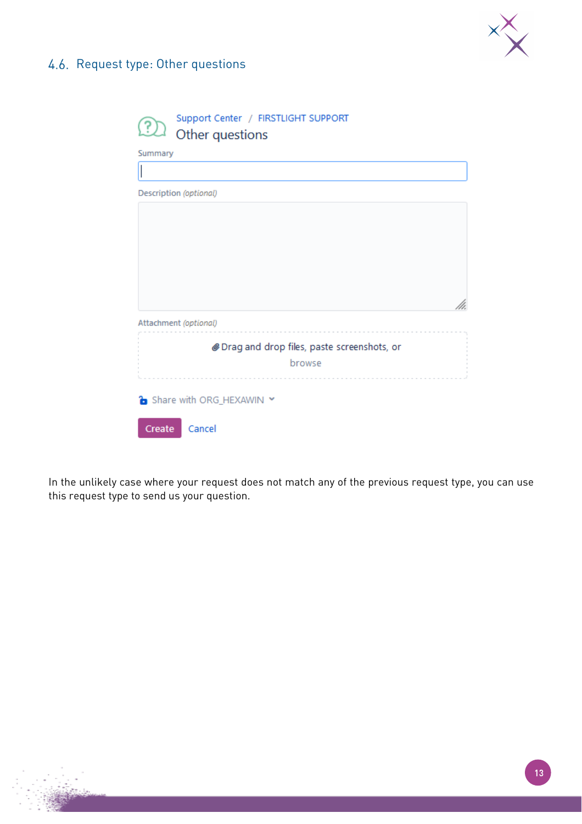

### <span id="page-12-0"></span>4.6. Request type: Other questions

| Support Center / FIRSTLIGHT SUPPORT<br>$\mathfrak{D}_1$<br>Other questions |
|----------------------------------------------------------------------------|
| Summary                                                                    |
|                                                                            |
| Description (optional)                                                     |
|                                                                            |
|                                                                            |
|                                                                            |
|                                                                            |
|                                                                            |
|                                                                            |
| Attachment (optional)                                                      |
| Drag and drop files, paste screenshots, or                                 |
| browse                                                                     |
|                                                                            |
| Share with ORG_HEXAWIN Y                                                   |
| Cancel<br>Create                                                           |

In the unlikely case where your request does not match any of the previous request type, you can use this request type to send us your question.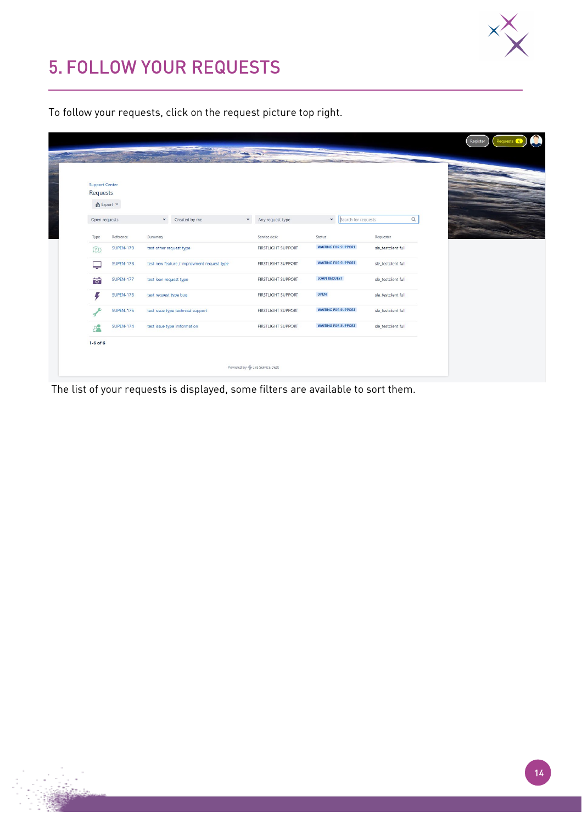

## <span id="page-13-0"></span>5. FOLLOW YOUR REQUESTS

To follow your requests, click on the request picture top right.

| <b>Support Center</b> |                   |                                            |                                  |                            |                     |  |
|-----------------------|-------------------|--------------------------------------------|----------------------------------|----------------------------|---------------------|--|
| Requests              | <b>①</b> Export ▼ |                                            |                                  |                            |                     |  |
|                       |                   |                                            |                                  |                            |                     |  |
| Open requests         |                   | $\checkmark$<br>Created by me              | $\checkmark$<br>Any request type | >   Search for requests    | $\alpha$            |  |
| Type                  | Reference         | Summary                                    | Service desk                     | Status                     | Requester           |  |
| (?)                   | <b>SUPEN-179</b>  | test other request type                    | <b>FIRSTLIGHT SUPPORT</b>        | <b>WAITING FOR SUPPORT</b> | sle_testdient full  |  |
| پ                     | <b>SUPEN-178</b>  | test new feature / improvment request type | <b>FIRSTLIGHT SUPPORT</b>        | <b>WAITING FOR SUPPORT</b> | sle_testclient full |  |
| $\overline{\bullet}$  | <b>SUPEN-177</b>  | test loan request type                     | <b>FIRSTLIGHT SUPPORT</b>        | <b>LOAN REQUEST</b>        | sle_testclient full |  |
| Ę                     | <b>SUPEN-176</b>  | test request type bug                      | <b>FIRSTLIGHT SUPPORT</b>        | OPEN                       | sle_testdient full  |  |
|                       | <b>SUPEN-175</b>  | test issue type technical support          | <b>FIRSTLIGHT SUPPORT</b>        | <b>WAITING FOR SUPPORT</b> | sle_testdient full  |  |
| $P^{\bullet}$         | <b>SUPEN-174</b>  | test issue type imformation                | <b>FIRSTLIGHT SUPPORT</b>        | <b>WAITING FOR SUPPORT</b> | sle_testdient full  |  |
| $1-6$ of $6$          |                   |                                            |                                  |                            |                     |  |

The list of your requests is displayed, some filters are available to sort them.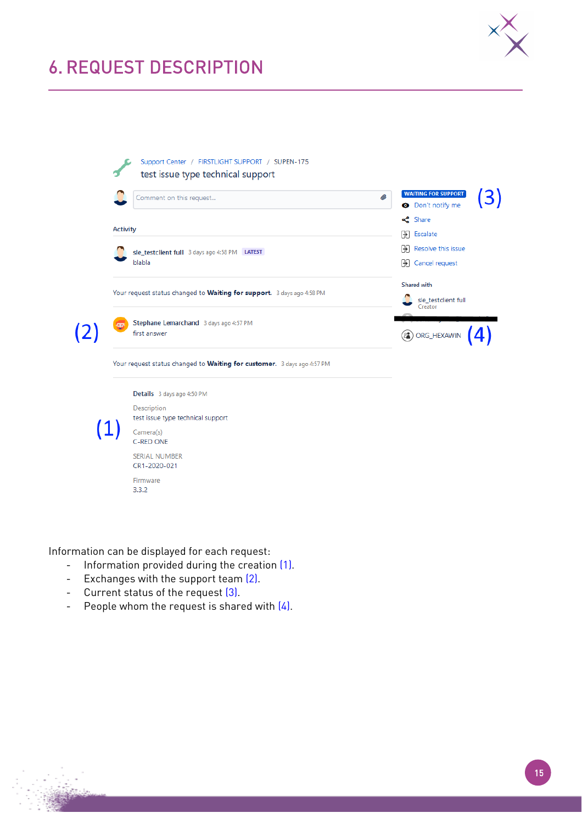

### <span id="page-14-0"></span>6. REQUEST DESCRIPTION



Information can be displayed for each request:

- Information provided during the creation (1).
- Exchanges with the support team (2).
- Current status of the request (3).
- People whom the request is shared with  $(4)$ .